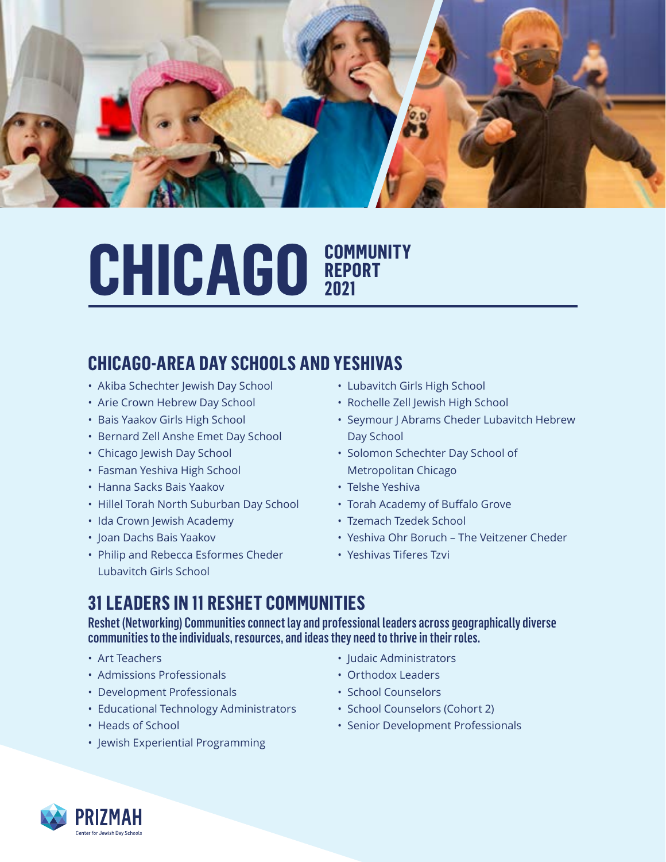

### CHICAGO **COMMUNITY REPORT 2021**

#### **CHICAGO-AREA DAY SCHOOLS AND YESHIVAS**

- Akiba Schechter Jewish Day School
- Arie Crown Hebrew Day School
- Bais Yaakov Girls High School
- Bernard Zell Anshe Emet Day School
- Chicago Jewish Day School
- Fasman Yeshiva High School
- Hanna Sacks Bais Yaakov
- Hillel Torah North Suburban Day School
- Ida Crown Jewish Academy
- Joan Dachs Bais Yaakov
- Philip and Rebecca Esformes Cheder Lubavitch Girls School
- Lubavitch Girls High School
- Rochelle Zell Jewish High School
- Seymour | Abrams Cheder Lubavitch Hebrew Day School
- Solomon Schechter Day School of Metropolitan Chicago
- Telshe Yeshiva
- Torah Academy of Buffalo Grove
- Tzemach Tzedek School
- Yeshiva Ohr Boruch The Veitzener Cheder
- Yeshivas Tiferes Tzvi

#### **31 LEADERS IN 11 RESHET COMMUNITIES**

Reshet (Networking) Communities connect lay and professional leaders across geographically diverse communities to the individuals, resources, and ideas they need to thrive in their roles.

- Art Teachers
- Admissions Professionals
- Development Professionals
- Educational Technology Administrators
- Heads of School
- Jewish Experiential Programming
- Judaic Administrators
- Orthodox Leaders
- School Counselors
- School Counselors (Cohort 2)
- Senior Development Professionals